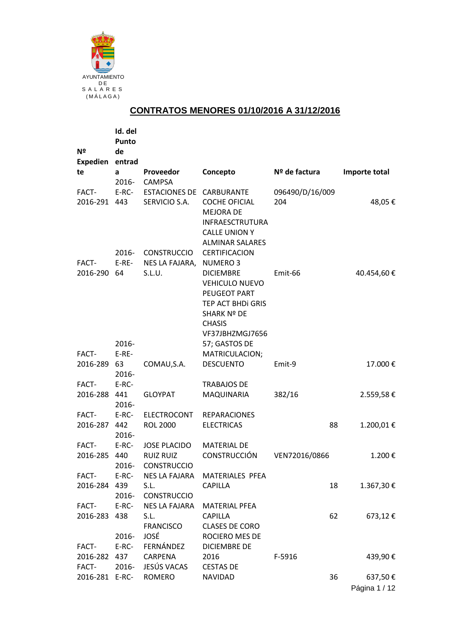

## **CONTRATOS MENORES 01/10/2016 A 31/12/2016**

|                         | Id. del<br>Punto |                                                               |                                                                                                                                          |                        |    |               |
|-------------------------|------------------|---------------------------------------------------------------|------------------------------------------------------------------------------------------------------------------------------------------|------------------------|----|---------------|
| Nº                      | de               |                                                               |                                                                                                                                          |                        |    |               |
| Expedien entrad         |                  |                                                               |                                                                                                                                          |                        |    |               |
| te                      | a<br>2016-       | Proveedor<br><b>CAMPSA</b>                                    | Concepto                                                                                                                                 | Nº de factura          |    | Importe total |
| FACT-<br>2016-291 443   | $E-RC-$          | ESTACIONES DE CARBURANTE<br>SERVICIO S.A.                     | <b>COCHE OFICIAL</b><br><b>MEJORA DE</b><br>INFRAESCTRUTURA<br><b>CALLE UNION Y</b><br><b>ALMINAR SALARES</b>                            | 096490/D/16/009<br>204 |    | 48,05€        |
| FACT-                   | 2016-<br>$E-RE-$ | <b>CONSTRUCCIO</b><br>NES LA FAJARA,                          | CERTIFICACION<br><b>NUMERO3</b>                                                                                                          |                        |    |               |
| 2016-290 64             |                  | S.L.U.                                                        | <b>DICIEMBRE</b><br><b>VEHICULO NUEVO</b><br>PEUGEOT PART<br>TEP ACT BHDI GRIS<br><b>SHARK Nº DE</b><br><b>CHASIS</b><br>VF37JBHZMGJ7656 | Emit-66                |    | 40.454,60 €   |
|                         | 2016-            |                                                               | 57; GASTOS DE                                                                                                                            |                        |    |               |
| FACT-                   | $E-RE-$          |                                                               | MATRICULACION;                                                                                                                           |                        |    |               |
| 2016-289 63             | 2016-            | COMAU, S.A.                                                   | <b>DESCUENTO</b>                                                                                                                         | Emit-9                 |    | 17.000€       |
| FACT-                   | E-RC-            |                                                               | <b>TRABAJOS DE</b>                                                                                                                       |                        |    |               |
| 2016-288 441            | 2016-            | <b>GLOYPAT</b>                                                | MAQUINARIA                                                                                                                               | 382/16                 |    | 2.559,58€     |
| FACT-                   | E-RC-            | <b>ELECTROCONT</b>                                            | <b>REPARACIONES</b>                                                                                                                      |                        |    |               |
| 2016-287 442            | 2016-            | <b>ROL 2000</b>                                               | <b>ELECTRICAS</b>                                                                                                                        |                        | 88 | 1.200,01€     |
| FACT-<br>2016-285 440   | E-RC-<br>2016-   | <b>JOSE PLACIDO</b><br><b>RUIZ RUIZ</b><br><b>CONSTRUCCIO</b> | <b>MATERIAL DE</b><br><b>CONSTRUCCIÓN</b>                                                                                                | VEN72016/0866          |    | 1.200€        |
| FACT-<br>2016-284 439   | $E-RC-$<br>2016- | <b>NES LA FAJARA</b><br>S.L.<br><b>CONSTRUCCIO</b>            | MATERIALES PFEA<br><b>CAPILLA</b>                                                                                                        |                        | 18 | 1.367,30€     |
| FACT-<br>2016-283 438   | $E-RC-$          | NES LA FAJARA<br>S.L.<br><b>FRANCISCO</b>                     | MATERIAL PFEA<br><b>CAPILLA</b><br><b>CLASES DE CORO</b>                                                                                 |                        | 62 | 673,12€       |
|                         | 2016-            | JOSÉ                                                          | ROCIERO MES DE                                                                                                                           |                        |    |               |
| FACT-                   | $E-RC-$          | FERNÁNDEZ                                                     | <b>DICIEMBRE DE</b>                                                                                                                      |                        |    |               |
| 2016-282 437            |                  | CARPENA                                                       | 2016                                                                                                                                     | F-5916                 |    | 439,90€       |
| FACT-<br>2016-281 E-RC- | 2016-            | JESÚS VACAS<br>ROMERO                                         | <b>CESTAS DE</b><br><b>NAVIDAD</b>                                                                                                       |                        | 36 | 637,50€       |
|                         |                  |                                                               |                                                                                                                                          |                        |    |               |
|                         |                  |                                                               |                                                                                                                                          |                        |    | Página 1 / 12 |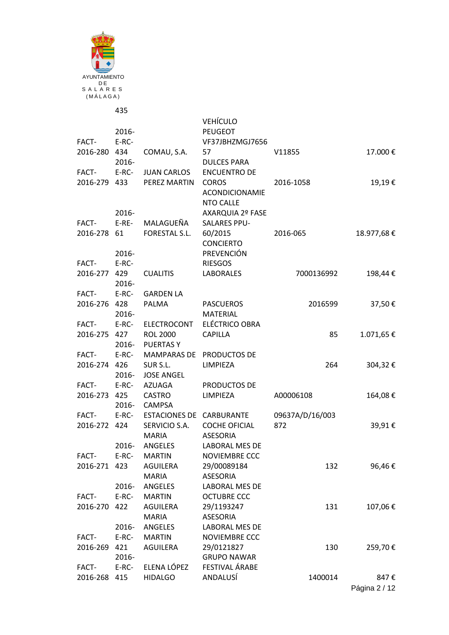

| FACT-                 | 2016-<br>E-RC- |                                    | <b>VEHÍCULO</b><br><b>PEUGEOT</b><br>VF37JBHZMGJ7656      |                 |            |
|-----------------------|----------------|------------------------------------|-----------------------------------------------------------|-----------------|------------|
| 2016-280 434          | 2016-          | COMAU, S.A.                        | 57<br><b>DULCES PARA</b>                                  | V11855          | 17.000€    |
| FACT-                 | $E-RC-$        | <b>JUAN CARLOS</b>                 | <b>ENCUENTRO DE</b>                                       |                 |            |
| 2016-279 433          |                | PEREZ MARTIN                       | <b>COROS</b><br><b>ACONDICIONAMIE</b><br><b>NTO CALLE</b> | 2016-1058       | 19,19€     |
|                       | 2016-          |                                    | AXARQUIA 2º FASE                                          |                 |            |
| FACT-                 | $E-RE-$        | MALAGUEÑA                          | <b>SALARES PPU-</b>                                       |                 |            |
| 2016-278              | 61             | FORESTAL S.L.                      | 60/2015<br><b>CONCIERTO</b>                               | 2016-065        | 18.977,68€ |
|                       | 2016-          |                                    | PREVENCIÓN                                                |                 |            |
| FACT-<br>2016-277 429 | E-RC-<br>2016- | <b>CUALITIS</b>                    | <b>RIESGOS</b><br><b>LABORALES</b>                        | 7000136992      | 198,44€    |
| FACT-                 |                | E-RC- GARDEN LA                    |                                                           |                 |            |
| 2016-276 428          |                | PALMA                              | <b>PASCUEROS</b>                                          | 2016599         | 37,50€     |
|                       | 2016-          |                                    | <b>MATERIAL</b>                                           |                 |            |
| FACT-                 | $E-RC-$        | ELECTROCONT                        | ELÉCTRICO OBRA                                            |                 |            |
| 2016-275 427          |                | <b>ROL 2000</b><br>2016- PUERTAS Y | <b>CAPILLA</b>                                            | 85              | 1.071,65€  |
| FACT-                 | $E-RC-$        |                                    | MAMPARAS DE PRODUCTOS DE                                  |                 |            |
| 2016-274 426          |                | SUR S.L.                           | LIMPIEZA                                                  | 264             | 304,32€    |
|                       | 2016-          | <b>JOSE ANGEL</b>                  |                                                           |                 |            |
| FACT-                 |                | E-RC- AZUAGA                       | PRODUCTOS DE                                              |                 |            |
| 2016-273 425          |                | <b>CASTRO</b>                      | LIMPIEZA                                                  | A00006108       | 164,08€    |
|                       |                | 2016- CAMPSA                       |                                                           |                 |            |
| FACT-                 |                | E-RC- ESTACIONES DE CARBURANTE     |                                                           | 09637A/D/16/003 |            |
| 2016-272 424          |                | SERVICIO S.A.<br><b>MARIA</b>      | <b>COCHE OFICIAL</b><br><b>ASESORIA</b>                   | 872             | 39,91€     |
|                       | $2016 -$       | ANGELES                            | <b>LABORAL MES DE</b>                                     |                 |            |
| FACT-                 | E-RC-          | <b>MARTIN</b>                      | <b>NOVIEMBRE CCC</b>                                      |                 |            |
| 2016-271              | 423            | AGUILERA                           | 29/00089184                                               | 132             | 96,46€     |
|                       |                | <b>MARIA</b>                       | <b>ASESORIA</b>                                           |                 |            |
|                       | 2016-          | ANGELES                            | LABORAL MES DE                                            |                 |            |
| FACT-                 | $E-RC-$        | <b>MARTIN</b>                      | <b>OCTUBRE CCC</b>                                        |                 |            |
| 2016-270              | 422            | <b>AGUILERA</b>                    | 29/1193247                                                | 131             | 107,06€    |
|                       |                | <b>MARIA</b>                       | <b>ASESORIA</b>                                           |                 |            |
|                       | 2016-          | ANGELES                            | LABORAL MES DE                                            |                 |            |
| FACT-                 | $E-RC-$        | <b>MARTIN</b>                      | <b>NOVIEMBRE CCC</b>                                      |                 |            |
| 2016-269              | 421            | AGUILERA                           | 29/0121827                                                | 130             | 259,70€    |
|                       | 2016-          |                                    | <b>GRUPO NAWAR</b>                                        |                 |            |
| FACT-                 | $E-RC-$        | ELENA LÓPEZ                        | FESTIVAL ÁRABE                                            |                 |            |
| 2016-268              | 415            | <b>HIDALGO</b>                     | ANDALUSÍ                                                  | 1400014         | 847€       |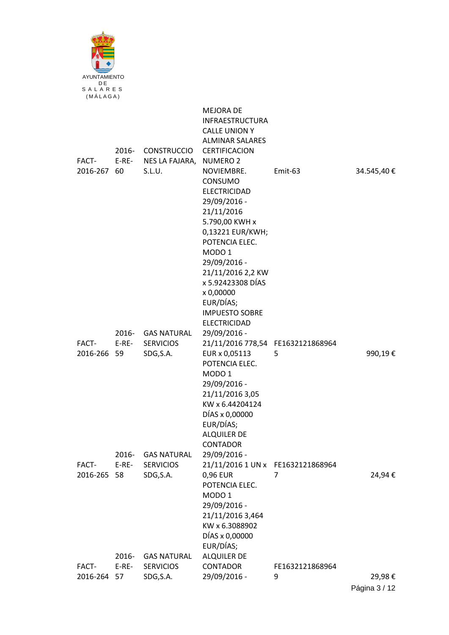

|                      | 2016-                           | <b>CONSTRUCCIO</b>                                                        | <b>MEJORA DE</b><br><b>INFRAESTRUCTURA</b><br><b>CALLE UNION Y</b><br><b>ALMINAR SALARES</b><br>CERTIFICACION                                                                                                                                                                                                  |                      |            |
|----------------------|---------------------------------|---------------------------------------------------------------------------|----------------------------------------------------------------------------------------------------------------------------------------------------------------------------------------------------------------------------------------------------------------------------------------------------------------|----------------------|------------|
| FACT-<br>2016-267 60 | $E-RE-$                         | NES LA FAJARA,<br>S.L.U.                                                  | <b>NUMERO 2</b><br>NOVIEMBRE.<br>CONSUMO<br><b>ELECTRICIDAD</b><br>29/09/2016 -<br>21/11/2016<br>5.790,00 KWH x<br>0,13221 EUR/KWH;<br>POTENCIA ELEC.<br>MODO <sub>1</sub><br>29/09/2016 -<br>21/11/2016 2,2 KW<br>x 5.92423308 DÍAS<br>x 0,00000<br>EUR/DÍAS;<br><b>IMPUESTO SOBRE</b><br><b>ELECTRICIDAD</b> | Emit-63              | 34.545,40€ |
| FACT-<br>2016-266 59 | 2016-<br>$E-RE-$                | <b>GAS NATURAL</b><br><b>SERVICIOS</b><br>SDG, S.A.                       | 29/09/2016 -<br>21/11/2016 778,54 FE1632121868964<br>EUR x 0,05113<br>POTENCIA ELEC.<br>MODO <sub>1</sub><br>29/09/2016 -<br>21/11/2016 3,05<br>KW x 6.44204124<br>DÍAS x 0,00000<br>EUR/DÍAS;<br><b>ALQUILER DE</b><br>CONTADOR                                                                               | 5                    | 990,19€    |
| FACT-<br>2016-265    | 2016-<br>$E-RE-$<br>58<br>2016- | <b>GAS NATURAL</b><br><b>SERVICIOS</b><br>SDG, S.A.<br><b>GAS NATURAL</b> | 29/09/2016 -<br>21/11/2016 1 UN x FE1632121868964<br>0,96 EUR<br>POTENCIA ELEC.<br>MODO <sub>1</sub><br>29/09/2016 -<br>21/11/2016 3,464<br>KW x 6.3088902<br>DÍAS x 0,00000<br>EUR/DÍAS;<br><b>ALQUILER DE</b>                                                                                                | 7                    | 24,94€     |
| FACT-<br>2016-264    | $E-RE-$<br>57                   | <b>SERVICIOS</b><br>SDG, S.A.                                             | <b>CONTADOR</b><br>29/09/2016 -                                                                                                                                                                                                                                                                                | FE1632121868964<br>9 | 29,98€     |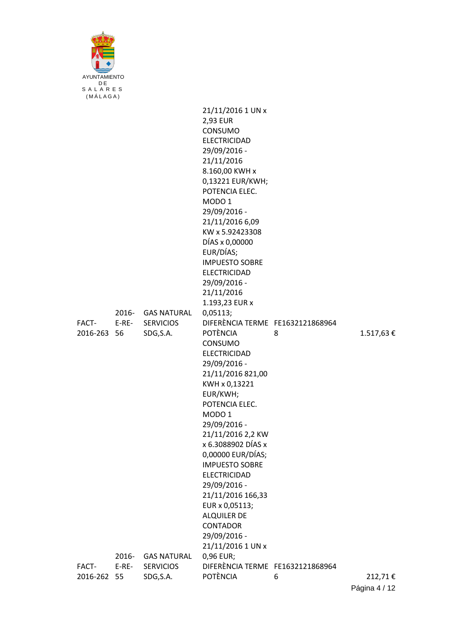

|                      |                  |                                                     | 21/11/2016 1 UN x<br>2,93 EUR<br>CONSUMO<br><b>ELECTRICIDAD</b><br>29/09/2016 -<br>21/11/2016<br>8.160,00 KWH x<br>0,13221 EUR/KWH;<br>POTENCIA ELEC.<br>MODO <sub>1</sub><br>29/09/2016 -<br>21/11/2016 6,09<br>KW x 5.92423308<br>DÍAS x 0,00000<br>EUR/DÍAS;<br><b>IMPUESTO SOBRE</b><br><b>ELECTRICIDAD</b><br>29/09/2016 -<br>21/11/2016<br>1.193,23 EUR x                                                                                                                 |   |           |
|----------------------|------------------|-----------------------------------------------------|---------------------------------------------------------------------------------------------------------------------------------------------------------------------------------------------------------------------------------------------------------------------------------------------------------------------------------------------------------------------------------------------------------------------------------------------------------------------------------|---|-----------|
| FACT-<br>2016-263 56 | $E-RE-$          | 2016- GAS NATURAL<br><b>SERVICIOS</b><br>SDG, S.A.  | 0,05113;<br>DIFERÈNCIA TERME FE1632121868964<br><b>POTÈNCIA</b><br>CONSUMO<br><b>ELECTRICIDAD</b><br>29/09/2016 -<br>21/11/2016 821,00<br>KWH x 0,13221<br>EUR/KWH;<br>POTENCIA ELEC.<br>MODO <sub>1</sub><br>29/09/2016 -<br>21/11/2016 2,2 KW<br>x 6.3088902 DÍAS x<br>0,00000 EUR/DÍAS;<br><b>IMPUESTO SOBRE</b><br><b>ELECTRICIDAD</b><br>29/09/2016 -<br>21/11/2016 166,33<br>EUR x 0,05113;<br><b>ALQUILER DE</b><br><b>CONTADOR</b><br>29/09/2016 -<br>21/11/2016 1 UN x | 8 | 1.517,63€ |
| FACT-<br>2016-262 55 | 2016-<br>$E-RE-$ | <b>GAS NATURAL</b><br><b>SERVICIOS</b><br>SDG, S.A. | 0,96 EUR;<br>DIFERÈNCIA TERME FE1632121868964<br><b>POTÈNCIA</b>                                                                                                                                                                                                                                                                                                                                                                                                                | 6 | 212,71€   |
|                      |                  |                                                     |                                                                                                                                                                                                                                                                                                                                                                                                                                                                                 |   |           |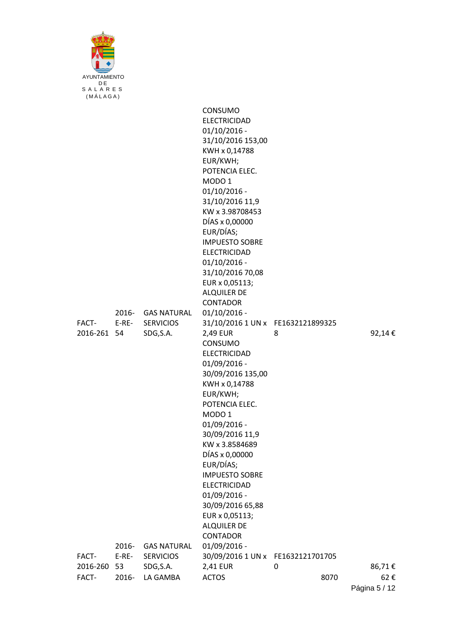

|                      |                  |                                                    | CONSUMO<br><b>ELECTRICIDAD</b><br>$01/10/2016$ -<br>31/10/2016 153,00<br>KWH x 0,14788<br>EUR/KWH;<br>POTENCIA ELEC.<br>MODO <sub>1</sub><br>$01/10/2016$ -<br>31/10/2016 11,9<br>KW x 3.98708453<br>DÍAS x 0,00000<br>EUR/DÍAS;<br><b>IMPUESTO SOBRE</b><br><b>ELECTRICIDAD</b><br>$01/10/2016$ -<br>31/10/2016 70,08<br>EUR x 0,05113;<br><b>ALQUILER DE</b><br><b>CONTADOR</b> |           |               |
|----------------------|------------------|----------------------------------------------------|-----------------------------------------------------------------------------------------------------------------------------------------------------------------------------------------------------------------------------------------------------------------------------------------------------------------------------------------------------------------------------------|-----------|---------------|
| FACT-<br>2016-261 54 | E-RE-            | 2016- GAS NATURAL<br><b>SERVICIOS</b><br>SDG, S.A. | $01/10/2016$ -<br>31/10/2016 1 UN x FE1632121899325<br>2,49 EUR<br>CONSUMO                                                                                                                                                                                                                                                                                                        | 8         | 92,14€        |
|                      |                  |                                                    | <b>ELECTRICIDAD</b><br>01/09/2016 -<br>30/09/2016 135,00<br>KWH x 0,14788<br>EUR/KWH;<br>POTENCIA ELEC.<br>MODO <sub>1</sub><br>01/09/2016 -<br>30/09/2016 11,9<br>KW x 3.8584689<br>DÍAS x 0,00000<br>EUR/DÍAS;<br><b>IMPUESTO SOBRE</b><br><b>ELECTRICIDAD</b><br>01/09/2016 -<br>30/09/2016 65,88<br>EUR x 0,05113;<br><b>ALQUILER DE</b><br><b>CONTADOR</b>                   |           |               |
| FACT-                | 2016-<br>$E-RE-$ | <b>GAS NATURAL</b><br><b>SERVICIOS</b>             | 01/09/2016 -<br>30/09/2016 1 UN x FE1632121701705                                                                                                                                                                                                                                                                                                                                 |           |               |
| 2016-260<br>FACT-    | -53<br>2016-     | SDG, S.A.<br>LA GAMBA                              | 2,41 EUR<br><b>ACTOS</b>                                                                                                                                                                                                                                                                                                                                                          | 0<br>8070 | 86,71€<br>62€ |
|                      |                  |                                                    |                                                                                                                                                                                                                                                                                                                                                                                   |           |               |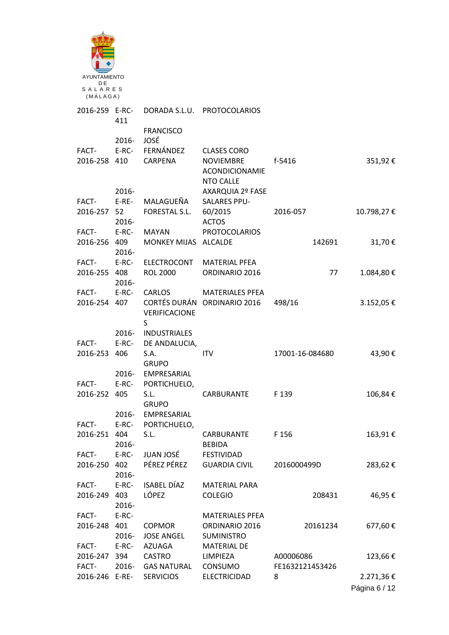| AYUNTAMIENTO              |                |                                      |                                                                                     |                              |               |
|---------------------------|----------------|--------------------------------------|-------------------------------------------------------------------------------------|------------------------------|---------------|
| DE<br>SALARES<br>(MÅLAGA) |                |                                      |                                                                                     |                              |               |
| 2016-259 E-RC-            | 411            |                                      | DORADA S.L.U. PROTOCOLARIOS                                                         |                              |               |
|                           | $2016 -$       | <b>FRANCISCO</b><br>JOSÉ             |                                                                                     |                              |               |
| FACT-<br>2016-258 410     | $E-RC-$        | FERNÁNDEZ<br>CARPENA                 | <b>CLASES CORO</b><br><b>NOVIEMBRE</b><br><b>ACONDICIONAMIE</b><br><b>NTO CALLE</b> | f-5416                       | 351,92€       |
| FACT-                     | 2016-<br>E-RE- | MALAGUEÑA                            | AXARQUIA 2º FASE<br><b>SALARES PPU-</b>                                             |                              |               |
| 2016-257 52               | $2016 -$       | FORESTAL S.L.                        | 60/2015<br><b>ACTOS</b>                                                             | 2016-057                     | 10.798,27€    |
| FACT-<br>2016-256 409     | E-RC-          | <b>MAYAN</b><br>MONKEY MIJAS ALCALDE | <b>PROTOCOLARIOS</b>                                                                | 142691                       | 31,70€        |
| FACT- E-RC-               | 2016-          | ELECTROCONT                          | <b>MATERIAL PFEA</b>                                                                |                              |               |
| 2016-255 408              | 2016-          | <b>ROL 2000</b>                      | ORDINARIO 2016                                                                      | 77                           | 1.084,80€     |
| FACT-                     | $E-RC-$        | CARLOS                               | <b>MATERIALES PFEA</b>                                                              |                              |               |
| 2016-254 407              |                | VERIFICACIONE<br>S                   | CORTÉS DURÁN ORDINARIO 2016                                                         | 498/16                       | 3.152,05€     |
|                           | 2016-          | <b>INDUSTRIALES</b>                  |                                                                                     |                              |               |
| FACT-                     | $E-RC-$        | DE ANDALUCIA,                        |                                                                                     |                              |               |
| 2016-253 406              |                | S.A.                                 | <b>ITV</b>                                                                          | 17001-16-084680              | 43,90€        |
|                           | 2016-          | <b>GRUPO</b><br>EMPRESARIAL          |                                                                                     |                              |               |
| FACT-                     |                | E-RC- PORTICHUELO,                   |                                                                                     |                              |               |
| 2016-252 405              |                | S.L.<br><b>GRUPO</b>                 | CARBURANTE                                                                          | F 139                        | 106,84€       |
|                           | 2016-          | EMPRESARIAL                          |                                                                                     |                              |               |
| FACT-                     | $E-RC-$        | PORTICHUELO,                         |                                                                                     |                              |               |
| 2016-251 404              |                | S.L.                                 | CARBURANTE                                                                          | F 156                        | 163,91€       |
|                           | 2016-          |                                      | <b>BEBIDA</b>                                                                       |                              |               |
| FACT-                     | E-RC-          | JUAN JOSÉ                            | FESTIVIDAD                                                                          |                              |               |
| 2016-250 402              | 2016-          | PÉREZ PÉREZ                          | <b>GUARDIA CIVIL</b>                                                                | 2016000499D                  | 283,62€       |
| FACT- E-RC-               |                | ISABEL DÍAZ                          | <b>MATERIAL PARA</b>                                                                |                              |               |
| 2016-249 403              | 2016-          | LÓPEZ                                | <b>COLEGIO</b>                                                                      | 208431                       | 46,95€        |
| FACT-                     | E-RC-          |                                      | <b>MATERIALES PFEA</b>                                                              |                              |               |
| 2016-248 401              |                | <b>COPMOR</b>                        | ORDINARIO 2016                                                                      | 20161234                     | 677,60€       |
|                           | 2016-          | <b>JOSE ANGEL</b>                    | <b>SUMINISTRO</b>                                                                   |                              |               |
| FACT-                     | $E-RC-$        | AZUAGA                               | <b>MATERIAL DE</b>                                                                  |                              |               |
| 2016-247 394<br>FACT-     | 2016-          | CASTRO<br><b>GAS NATURAL</b>         | LIMPIEZA<br>CONSUMO                                                                 | A00006086<br>FE1632121453426 | 123,66€       |
| 2016-246 E-RE-            |                | <b>SERVICIOS</b>                     | <b>ELECTRICIDAD</b>                                                                 | 8                            | 2.271,36€     |
|                           |                |                                      |                                                                                     |                              | Página 6 / 12 |
|                           |                |                                      |                                                                                     |                              |               |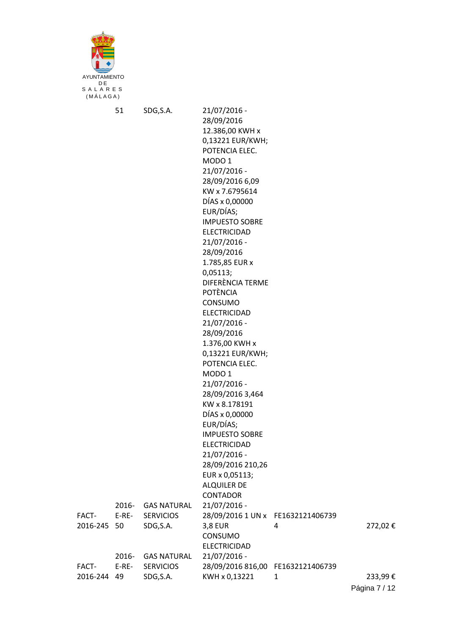

|             | 51      | SDG, S.A.          | 21/07/2016 -                      |   |               |
|-------------|---------|--------------------|-----------------------------------|---|---------------|
|             |         |                    | 28/09/2016                        |   |               |
|             |         |                    | 12.386,00 KWH x                   |   |               |
|             |         |                    | 0,13221 EUR/KWH;                  |   |               |
|             |         |                    | POTENCIA ELEC.                    |   |               |
|             |         |                    | MODO <sub>1</sub>                 |   |               |
|             |         |                    | 21/07/2016 -                      |   |               |
|             |         |                    | 28/09/2016 6,09                   |   |               |
|             |         |                    | KW x 7.6795614                    |   |               |
|             |         |                    | DÍAS x 0,00000                    |   |               |
|             |         |                    | EUR/DÍAS;                         |   |               |
|             |         |                    | <b>IMPUESTO SOBRE</b>             |   |               |
|             |         |                    | <b>ELECTRICIDAD</b>               |   |               |
|             |         |                    | 21/07/2016 -                      |   |               |
|             |         |                    | 28/09/2016                        |   |               |
|             |         |                    | 1.785,85 EUR x                    |   |               |
|             |         |                    | 0,05113;                          |   |               |
|             |         |                    | DIFERÈNCIA TERME                  |   |               |
|             |         |                    | <b>POTÈNCIA</b>                   |   |               |
|             |         |                    | CONSUMO<br><b>ELECTRICIDAD</b>    |   |               |
|             |         |                    | 21/07/2016 -                      |   |               |
|             |         |                    | 28/09/2016                        |   |               |
|             |         |                    | 1.376,00 KWH x                    |   |               |
|             |         |                    | 0,13221 EUR/KWH;                  |   |               |
|             |         |                    | POTENCIA ELEC.                    |   |               |
|             |         |                    | MODO <sub>1</sub>                 |   |               |
|             |         |                    | 21/07/2016 -                      |   |               |
|             |         |                    | 28/09/2016 3,464                  |   |               |
|             |         |                    | KW x 8.178191                     |   |               |
|             |         |                    | DÍAS x 0,00000                    |   |               |
|             |         |                    | EUR/DÍAS;                         |   |               |
|             |         |                    | <b>IMPUESTO SOBRE</b>             |   |               |
|             |         |                    | <b>ELECTRICIDAD</b>               |   |               |
|             |         |                    | 21/07/2016 -                      |   |               |
|             |         |                    | 28/09/2016 210,26                 |   |               |
|             |         |                    | EUR x 0,05113;                    |   |               |
|             |         |                    | <b>ALQUILER DE</b>                |   |               |
|             |         |                    | <b>CONTADOR</b>                   |   |               |
|             | 2016-   | <b>GAS NATURAL</b> | 21/07/2016 -                      |   |               |
| FACT-       | $E-RE-$ | <b>SERVICIOS</b>   | 28/09/2016 1 UN x FE1632121406739 |   |               |
| 2016-245 50 |         | SDG, S.A.          | <b>3,8 EUR</b>                    | 4 | 272,02€       |
|             |         |                    | CONSUMO                           |   |               |
|             |         |                    | <b>ELECTRICIDAD</b>               |   |               |
|             | 2016-   | <b>GAS NATURAL</b> | 21/07/2016 -                      |   |               |
| FACT-       | $E-RE-$ | <b>SERVICIOS</b>   | 28/09/2016 816,00 FE1632121406739 |   |               |
| 2016-244    | 49      | SDG, S.A.          | KWH x 0,13221                     | 1 | 233,99€       |
|             |         |                    |                                   |   | Página 7 / 12 |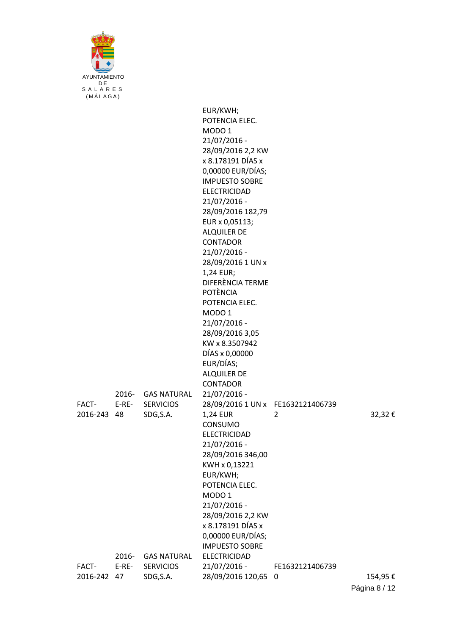| AYUNTAMIENTO<br>D F<br>SALARES |
|--------------------------------|
| (MÁLAGA)                       |

|                      |                |                                        | EUR/KWH;<br>POTENCIA ELEC.                          |                 |         |
|----------------------|----------------|----------------------------------------|-----------------------------------------------------|-----------------|---------|
|                      |                |                                        | MODO <sub>1</sub>                                   |                 |         |
|                      |                |                                        | 21/07/2016 -                                        |                 |         |
|                      |                |                                        | 28/09/2016 2,2 KW<br>x 8.178191 DÍAS x              |                 |         |
|                      |                |                                        | 0,00000 EUR/DÍAS;                                   |                 |         |
|                      |                |                                        | <b>IMPUESTO SOBRE</b>                               |                 |         |
|                      |                |                                        | <b>ELECTRICIDAD</b>                                 |                 |         |
|                      |                |                                        | 21/07/2016 -                                        |                 |         |
|                      |                |                                        | 28/09/2016 182,79                                   |                 |         |
|                      |                |                                        | EUR x 0,05113;                                      |                 |         |
|                      |                |                                        | <b>ALQUILER DE</b><br><b>CONTADOR</b>               |                 |         |
|                      |                |                                        | 21/07/2016 -                                        |                 |         |
|                      |                |                                        | 28/09/2016 1 UN x                                   |                 |         |
|                      |                |                                        | 1,24 EUR;                                           |                 |         |
|                      |                |                                        | DIFERÈNCIA TERME                                    |                 |         |
|                      |                |                                        | <b>POTÈNCIA</b>                                     |                 |         |
|                      |                |                                        | POTENCIA ELEC.                                      |                 |         |
|                      |                |                                        | MODO <sub>1</sub><br>21/07/2016 -                   |                 |         |
|                      |                |                                        | 28/09/2016 3,05                                     |                 |         |
|                      |                |                                        | KW x 8.3507942                                      |                 |         |
|                      |                |                                        | DÍAS x 0,00000                                      |                 |         |
|                      |                |                                        | EUR/DÍAS;                                           |                 |         |
|                      |                |                                        | <b>ALQUILER DE</b>                                  |                 |         |
|                      |                |                                        | <b>CONTADOR</b>                                     |                 |         |
| FACT-                | 2016-<br>E-RE- | <b>GAS NATURAL</b><br><b>SERVICIOS</b> | $21/07/2016 -$<br>28/09/2016 1 UN x FE1632121406739 |                 |         |
| 2016-243 48          |                | SDG, S.A.                              | <b>1,24 EUR</b>                                     | $\overline{2}$  | 32,32€  |
|                      |                |                                        | CONSUMO                                             |                 |         |
|                      |                |                                        | <b>ELECTRICIDAD</b>                                 |                 |         |
|                      |                |                                        | 21/07/2016 -                                        |                 |         |
|                      |                |                                        | 28/09/2016 346,00                                   |                 |         |
|                      |                |                                        | KWH x 0,13221                                       |                 |         |
|                      |                |                                        | EUR/KWH;<br>POTENCIA ELEC.                          |                 |         |
|                      |                |                                        | MODO <sub>1</sub>                                   |                 |         |
|                      |                |                                        | 21/07/2016 -                                        |                 |         |
|                      |                |                                        | 28/09/2016 2,2 KW                                   |                 |         |
|                      |                |                                        | x 8.178191 DÍAS x                                   |                 |         |
|                      |                |                                        | 0,00000 EUR/DÍAS;                                   |                 |         |
|                      |                |                                        | <b>IMPUESTO SOBRE</b>                               |                 |         |
|                      | 2016-          | <b>GAS NATURAL</b>                     | <b>ELECTRICIDAD</b>                                 |                 |         |
| FACT-<br>2016-242 47 | $E-RE-$        | <b>SERVICIOS</b><br>SDG, S.A.          | 21/07/2016 -<br>28/09/2016 120,65 0                 | FE1632121406739 | 154,95€ |
|                      |                |                                        |                                                     |                 |         |

Página 8 / 12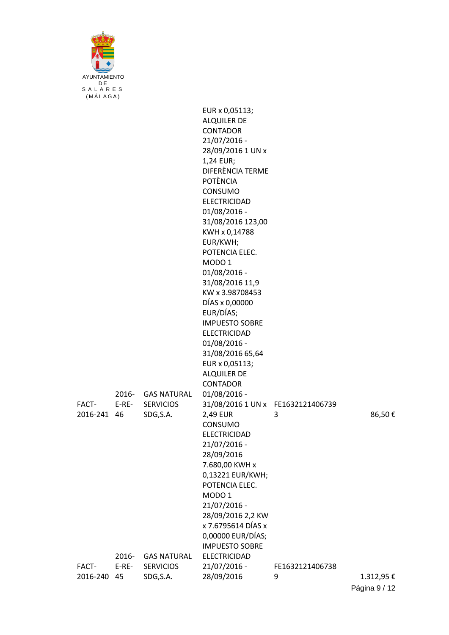| AYUNTAMIENTO         |         |                               |                                               |                 |           |
|----------------------|---------|-------------------------------|-----------------------------------------------|-----------------|-----------|
| DE<br>SALARES        |         |                               |                                               |                 |           |
| (MÁLAGA)             |         |                               |                                               |                 |           |
|                      |         |                               | EUR x 0,05113;                                |                 |           |
|                      |         |                               | <b>ALQUILER DE</b>                            |                 |           |
|                      |         |                               | <b>CONTADOR</b>                               |                 |           |
|                      |         |                               | 21/07/2016 -<br>28/09/2016 1 UN x             |                 |           |
|                      |         |                               | 1,24 EUR;                                     |                 |           |
|                      |         |                               | DIFERÈNCIA TERME                              |                 |           |
|                      |         |                               | <b>POTÈNCIA</b>                               |                 |           |
|                      |         |                               | CONSUMO                                       |                 |           |
|                      |         |                               | <b>ELECTRICIDAD</b>                           |                 |           |
|                      |         |                               | 01/08/2016 -<br>31/08/2016 123,00             |                 |           |
|                      |         |                               | KWH x 0,14788                                 |                 |           |
|                      |         |                               | EUR/KWH;                                      |                 |           |
|                      |         |                               | POTENCIA ELEC.                                |                 |           |
|                      |         |                               | MODO <sub>1</sub>                             |                 |           |
|                      |         |                               | 01/08/2016 -<br>31/08/2016 11,9               |                 |           |
|                      |         |                               | KW x 3.98708453                               |                 |           |
|                      |         |                               | DÍAS x 0,00000                                |                 |           |
|                      |         |                               | EUR/DÍAS;                                     |                 |           |
|                      |         |                               | <b>IMPUESTO SOBRE</b>                         |                 |           |
|                      |         |                               | <b>ELECTRICIDAD</b>                           |                 |           |
|                      |         |                               | 01/08/2016 -<br>31/08/2016 65,64              |                 |           |
|                      |         |                               | EUR x 0,05113;                                |                 |           |
|                      |         |                               | <b>ALQUILER DE</b>                            |                 |           |
|                      |         |                               | CONTADOR                                      |                 |           |
|                      | 2016-   | <b>GAS NATURAL</b>            | 01/08/2016 -                                  |                 |           |
| FACT-<br>2016-241 46 | $E-RE-$ | <b>SERVICIOS</b><br>SDG, S.A. | 31/08/2016 1 UN x FE1632121406739<br>2,49 EUR | 3               | 86,50€    |
|                      |         |                               | CONSUMO                                       |                 |           |
|                      |         |                               | ELECTRICIDAD                                  |                 |           |
|                      |         |                               | 21/07/2016 -                                  |                 |           |
|                      |         |                               | 28/09/2016                                    |                 |           |
|                      |         |                               | 7.680,00 KWH x<br>0,13221 EUR/KWH;            |                 |           |
|                      |         |                               | POTENCIA ELEC.                                |                 |           |
|                      |         |                               | MODO <sub>1</sub>                             |                 |           |
|                      |         |                               | 21/07/2016 -                                  |                 |           |
|                      |         |                               | 28/09/2016 2,2 KW                             |                 |           |
|                      |         |                               | x 7.6795614 DÍAS x<br>0,00000 EUR/DÍAS;       |                 |           |
|                      |         |                               | <b>IMPUESTO SOBRE</b>                         |                 |           |
|                      | 2016-   | <b>GAS NATURAL</b>            | <b>ELECTRICIDAD</b>                           |                 |           |
| FACT-                | $E-RE-$ | <b>SERVICIOS</b>              | 21/07/2016 -                                  | FE1632121406738 |           |
| 2016-240 45          |         | SDG, S.A.                     | 28/09/2016                                    | 9               | 1.312,95€ |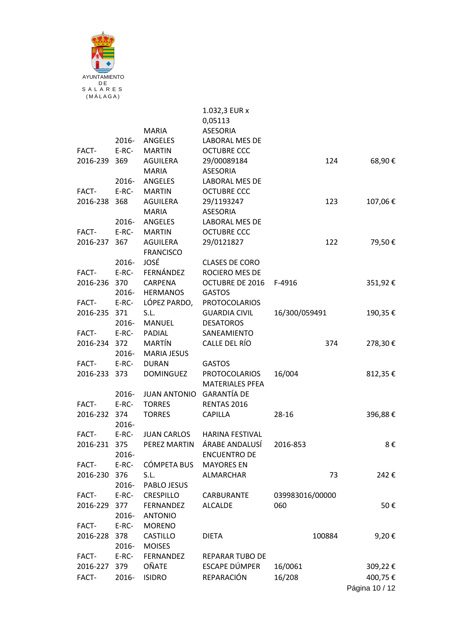

|                       |         |                          | 1.032,3 EUR x                           |                 |     |         |
|-----------------------|---------|--------------------------|-----------------------------------------|-----------------|-----|---------|
|                       |         | <b>MARIA</b>             | 0,05113<br>ASESORIA                     |                 |     |         |
|                       | 2016-   | ANGELES                  | LABORAL MES DE                          |                 |     |         |
| FACT-                 | $E-RC-$ | <b>MARTIN</b>            | <b>OCTUBRE CCC</b>                      |                 |     |         |
| 2016-239 369          |         | AGUILERA                 | 29/00089184                             |                 | 124 | 68,90€  |
|                       |         | <b>MARIA</b>             | <b>ASESORIA</b>                         |                 |     |         |
|                       | 2016-   | ANGELES                  | LABORAL MES DE                          |                 |     |         |
| FACT-                 | $E-RC-$ | <b>MARTIN</b>            | <b>OCTUBRE CCC</b>                      |                 |     |         |
| 2016-238 368          |         | AGUILERA                 | 29/1193247                              |                 | 123 | 107,06€ |
|                       |         | <b>MARIA</b>             | <b>ASESORIA</b>                         |                 |     |         |
|                       | 2016-   | ANGELES                  | LABORAL MES DE                          |                 |     |         |
| FACT-                 | $E-RC-$ | <b>MARTIN</b>            | <b>OCTUBRE CCC</b>                      |                 |     |         |
| 2016-237 367          |         | AGUILERA                 | 29/0121827                              |                 | 122 | 79,50€  |
|                       |         | <b>FRANCISCO</b>         |                                         |                 |     |         |
|                       | 2016-   | JOSÉ                     | <b>CLASES DE CORO</b>                   |                 |     |         |
| FACT-                 | E-RC-   | FERNÁNDEZ                | ROCIERO MES DE                          |                 |     |         |
| 2016-236 370          |         | CARPENA                  | <b>OCTUBRE DE 2016</b>                  | F-4916          |     | 351,92€ |
|                       | 2016-   | <b>HERMANOS</b>          | <b>GASTOS</b>                           |                 |     |         |
| FACT- E-RC-           |         | LÓPEZ PARDO,             | <b>PROTOCOLARIOS</b>                    |                 |     |         |
| 2016-235 371          |         | S.L.                     | <b>GUARDIA CIVIL</b>                    | 16/300/059491   |     | 190,35€ |
|                       | 2016-   | MANUEL                   | <b>DESATOROS</b>                        |                 |     |         |
| FACT-                 | $E-RC-$ | PADIAL                   | SANEAMIENTO                             |                 |     |         |
| 2016-234 372          |         | MARTÍN                   | CALLE DEL RÍO                           |                 | 374 | 278,30€ |
|                       | 2016-   | <b>MARIA JESUS</b>       |                                         |                 |     |         |
| FACT-<br>2016-233 373 | E-RC-   | <b>DURAN</b>             | <b>GASTOS</b>                           |                 |     |         |
|                       |         | DOMINGUEZ                | PROTOCOLARIOS<br><b>MATERIALES PFEA</b> | 16/004          |     | 812,35€ |
|                       | 2016-   | JUAN ANTONIO GARANTÍA DE |                                         |                 |     |         |
| FACT-                 | $E-RC-$ | <b>TORRES</b>            | RENTAS 2016                             |                 |     |         |
| 2016-232 374          |         | <b>TORRES</b>            | CAPILLA                                 | 28-16           |     | 396,88€ |
|                       | 2016-   |                          |                                         |                 |     |         |
| FACT-                 | $E-RC-$ | <b>JUAN CARLOS</b>       | <b>HARINA FESTIVAL</b>                  |                 |     |         |
| 2016-231              | 375     |                          | PEREZ MARTIN ÁRABE ANDALUSÍ 2016-853    |                 |     | 8€      |
|                       | 2016-   |                          | <b>ENCUENTRO DE</b>                     |                 |     |         |
| FACT-                 | $E-RC-$ | CÓMPETA BUS              | <b>MAYORES EN</b>                       |                 |     |         |
| 2016-230 376          |         | S.L.                     | ALMARCHAR                               |                 | 73  | 242€    |
|                       | 2016-   | PABLO JESUS              |                                         |                 |     |         |
| FACT-                 | $E-RC-$ | CRESPILLO                | CARBURANTE                              | 039983016/00000 |     |         |
| 2016-229 377          |         | <b>FERNANDEZ</b>         | <b>ALCALDE</b>                          | 060             |     | 50€     |
|                       | 2016-   | <b>ANTONIO</b>           |                                         |                 |     |         |
| FACT-                 | $E-RC-$ | <b>MORENO</b>            |                                         |                 |     |         |
| 2016-228 378          |         | <b>CASTILLO</b>          | <b>DIETA</b>                            | 100884          |     | 9,20€   |
|                       | 2016-   | <b>MOISES</b>            |                                         |                 |     |         |
| FACT-                 | $E-RC-$ | FERNANDEZ                | <b>REPARAR TUBO DE</b>                  |                 |     |         |
| 2016-227 379          |         | OÑATE                    | ESCAPE DÚMPER                           | 16/0061         |     | 309,22€ |
| FACT-                 | 2016-   | <b>ISIDRO</b>            | REPARACIÓN                              | 16/208          |     | 400,75€ |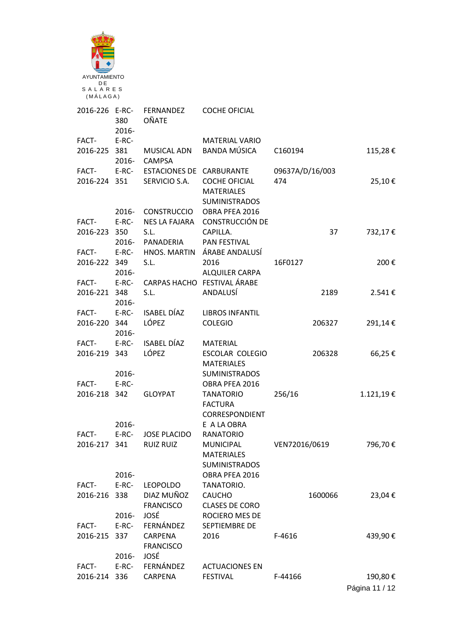| AYUNTAMIENTO              |                  |                                           |                                                                   |                        |                |
|---------------------------|------------------|-------------------------------------------|-------------------------------------------------------------------|------------------------|----------------|
| DE<br>SALARES<br>(MÁLAGA) |                  |                                           |                                                                   |                        |                |
| 2016-226 E-RC-            | 380<br>2016-     | FERNANDEZ<br>OÑATE                        | <b>COCHE OFICIAL</b>                                              |                        |                |
| FACT-                     | E-RC-            |                                           | <b>MATERIAL VARIO</b>                                             |                        |                |
| 2016-225 381              | 2016-            | <b>MUSICAL ADN</b><br><b>CAMPSA</b>       | <b>BANDA MÚSICA</b>                                               | C160194                | 115,28€        |
| FACT-<br>2016-224 351     | $E-RC-$          | ESTACIONES DE CARBURANTE<br>SERVICIO S.A. | <b>COCHE OFICIAL</b><br><b>MATERIALES</b><br><b>SUMINISTRADOS</b> | 09637A/D/16/003<br>474 | 25,10€         |
| FACT-                     | 2016-<br>$E-RC-$ | <b>CONSTRUCCIO</b><br>NES LA FAJARA       | OBRA PFEA 2016<br><b>CONSTRUCCIÓN DE</b>                          |                        |                |
| 2016-223 350              | $2016 -$         | S.L.<br>PANADERIA                         | CAPILLA.<br>PAN FESTIVAL                                          | 37                     | 732,17€        |
| FACT-                     | $E-RC-$          | HNOS. MARTIN                              | ÁRABE ANDALUSÍ                                                    |                        |                |
| 2016-222 349              | 2016-            | S.L.                                      | 2016<br>ALQUILER CARPA                                            | 16F0127                | 200€           |
| FACT-                     | E-RC-            |                                           | CARPAS HACHO FESTIVAL ÁRABE                                       |                        |                |
| 2016-221 348              | 2016-            | S.L.                                      | ANDALUSÍ                                                          | 2189                   | 2.541€         |
| FACT-                     | E-RC-            | <b>ISABEL DÍAZ</b>                        | <b>LIBROS INFANTIL</b>                                            |                        |                |
| 2016-220 344              | 2016-            | LÓPEZ                                     | <b>COLEGIO</b>                                                    | 206327                 | 291,14€        |
| FACT-<br>2016-219 343     | $E-RC-$          | <b>ISABEL DÍAZ</b><br>LÓPEZ               | <b>MATERIAL</b><br><b>ESCOLAR COLEGIO</b><br><b>MATERIALES</b>    | 206328                 | 66,25€         |
|                           | 2016-            |                                           | <b>SUMINISTRADOS</b>                                              |                        |                |
| FACT-                     | E-RC-            |                                           | OBRA PFEA 2016                                                    |                        |                |
| 2016-218 342              |                  | <b>GLOYPAT</b>                            | <b>TANATORIO</b><br><b>FACTURA</b>                                | 256/16                 | 1.121,19€      |
|                           | 2016-            |                                           | CORRESPONDIENT<br>E A LA OBRA                                     |                        |                |
| FACT-                     | $E-RC-$          | <b>JOSE PLACIDO</b>                       | <b>RANATORIO</b>                                                  |                        |                |
| 2016-217 341              |                  | <b>RUIZ RUIZ</b>                          | <b>MUNICIPAL</b><br><b>MATERIALES</b>                             | VEN72016/0619          | 796,70€        |
|                           | 2016-            |                                           | <b>SUMINISTRADOS</b>                                              |                        |                |
| FACT-                     | E-RC-            | <b>LEOPOLDO</b>                           | OBRA PFEA 2016<br>TANATORIO.                                      |                        |                |
| 2016-216 338              |                  | DIAZ MUÑOZ                                | <b>CAUCHO</b>                                                     | 1600066                | 23,04€         |
|                           |                  | <b>FRANCISCO</b>                          | <b>CLASES DE CORO</b>                                             |                        |                |
|                           | 2016-            | JOSÉ                                      | ROCIERO MES DE                                                    |                        |                |
| FACT-<br>2016-215 337     | $E-RC-$          | FERNÁNDEZ<br>CARPENA<br><b>FRANCISCO</b>  | SEPTIEMBRE DE<br>2016                                             | F-4616                 | 439,90€        |
|                           | 2016-            | JOSÉ                                      |                                                                   |                        |                |
| FACT-                     | $E-RC-$          | FERNÁNDEZ                                 | <b>ACTUACIONES EN</b>                                             |                        |                |
| 2016-214 336              |                  | CARPENA                                   | <b>FESTIVAL</b>                                                   | F-44166                | 190,80€        |
|                           |                  |                                           |                                                                   |                        | Página 11 / 12 |